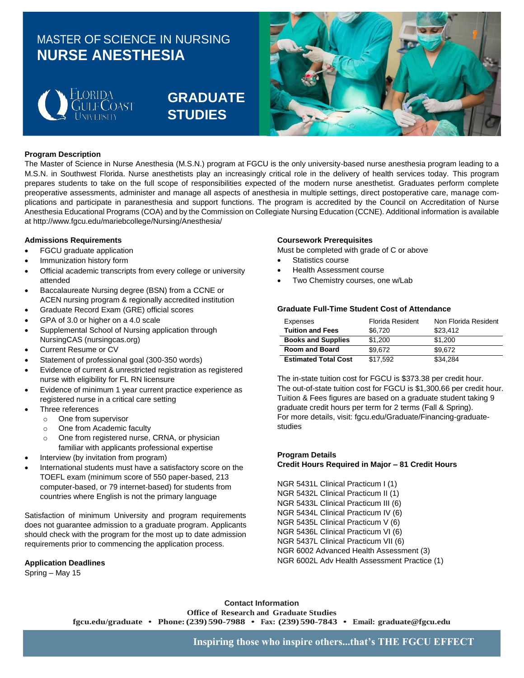## MASTER OF SCIENCE IN NURSING **NURSE ANESTHESIA**



# **GRADUATE STUDIES**



### **Program Description**

The Master of Science in Nurse Anesthesia (M.S.N.) program at FGCU is the only university-based nurse anesthesia program leading to a M.S.N. in Southwest Florida. Nurse anesthetists play an increasingly critical role in the delivery of health services today. This program prepares students to take on the full scope of responsibilities expected of the modern nurse anesthetist. Graduates perform complete preoperative assessments, administer and manage all aspects of anesthesia in multiple settings, direct postoperative care, manage complications and participate in paranesthesia and support functions. The program is accredited by the Council on Accreditation of Nurse Anesthesia Educational Programs (COA) and by the Commission on Collegiate Nursing Education (CCNE). Additional information is available at http://www.fgcu.edu/mariebcollege/Nursing/Anesthesia/

#### **Admissions Requirements**

- FGCU graduate application
- Immunization history form
- Official academic transcripts from every college or university attended
- Baccalaureate Nursing degree (BSN) from a CCNE or ACEN nursing program & regionally accredited institution
- Graduate Record Exam (GRE) official scores
- GPA of 3.0 or higher on a 4.0 scale
- Supplemental School of Nursing application through NursingCAS (nursingcas.org)
- Current Resume or CV
- Statement of professional goal (300-350 words)
- Evidence of current & unrestricted registration as registered nurse with eligibility for FL RN licensure
- Evidence of minimum 1 year current practice experience as registered nurse in a critical care setting
- Three references
	- o One from supervisor
	- o One from Academic faculty
	- o One from registered nurse, CRNA, or physician familiar with applicants professional expertise
- Interview (by invitation from program)
- International students must have a satisfactory score on the TOEFL exam (minimum score of 550 paper-based, 213 computer-based, or 79 internet-based) for students from countries where English is not the primary language

Satisfaction of minimum University and program requirements does not guarantee admission to a graduate program. Applicants should check with the program for the most up to date admission requirements prior to commencing the application process.

### **Application Deadlines**

Spring – May 15

### **Coursework Prerequisites**

Must be completed with grade of C or above

- Statistics course
- Health Assessment course
- Two Chemistry courses, one w/Lab

### **Graduate Full-Time Student Cost of Attendance**

| Expenses                    | Florida Resident | Non Florida Resident |
|-----------------------------|------------------|----------------------|
| <b>Tuition and Fees</b>     | \$6.720          | \$23,412             |
| <b>Books and Supplies</b>   | \$1,200          | \$1,200              |
| <b>Room and Board</b>       | \$9.672          | \$9.672              |
| <b>Estimated Total Cost</b> | \$17.592         | \$34.284             |

The in-state tuition cost for FGCU is \$373.38 per credit hour. The out-of-state tuition cost for FGCU is \$1,300.66 per credit hour. Tuition & Fees figures are based on a graduate student taking 9 graduate credit hours per term for 2 terms (Fall & Spring). For more details, visit: fgcu.edu/Graduate/Financing-graduatestudies

### **Program Details Credit Hours Required in Major – 81 Credit Hours**

NGR 5431L Clinical Practicum I (1) NGR 5432L Clinical Practicum II (1) NGR 5433L Clinical Practicum III (6) NGR 5434L Clinical Practicum IV (6) NGR 5435L Clinical Practicum V (6) NGR 5436L Clinical Practicum VI (6) NGR 5437L Clinical Practicum VII (6) NGR 6002 Advanced Health Assessment (3) NGR 6002L Adv Health Assessment Practice (1)

**Contact Information Office of Research and Graduate Studies fgcu.edu/graduate • Phone:(239) 590-7988 • Fax: (239) 590-7843 • Email: [graduate@fgcu.edu](mailto:graduate@fgcu.edu)**